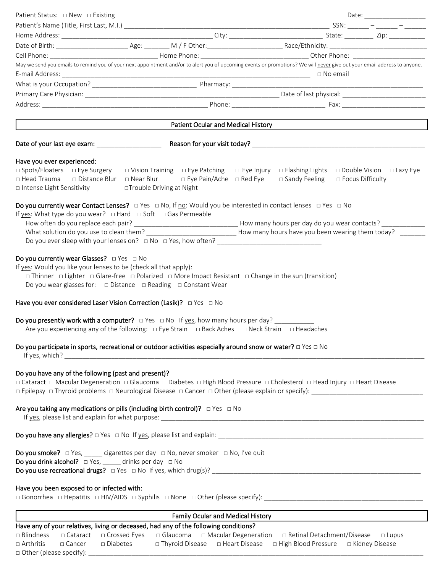| Patient Status: □ New □ Existing                                                                                                                                                                                                                                                                                                                     |                                    |                 |                    | Date: _________________ |
|------------------------------------------------------------------------------------------------------------------------------------------------------------------------------------------------------------------------------------------------------------------------------------------------------------------------------------------------------|------------------------------------|-----------------|--------------------|-------------------------|
|                                                                                                                                                                                                                                                                                                                                                      |                                    |                 |                    |                         |
|                                                                                                                                                                                                                                                                                                                                                      |                                    |                 |                    |                         |
|                                                                                                                                                                                                                                                                                                                                                      |                                    |                 |                    |                         |
|                                                                                                                                                                                                                                                                                                                                                      |                                    |                 |                    |                         |
| May we send you emails to remind you of your next appointment and/or to alert you of upcoming events or promotions? We will never give out your email address to anyone.                                                                                                                                                                             |                                    | $\Box$ No email |                    |                         |
|                                                                                                                                                                                                                                                                                                                                                      |                                    |                 |                    |                         |
|                                                                                                                                                                                                                                                                                                                                                      |                                    |                 |                    |                         |
|                                                                                                                                                                                                                                                                                                                                                      |                                    |                 |                    |                         |
|                                                                                                                                                                                                                                                                                                                                                      | Patient Ocular and Medical History |                 |                    |                         |
|                                                                                                                                                                                                                                                                                                                                                      |                                    |                 |                    |                         |
| Have you ever experienced:<br>□ Spots/Floaters □ Eye Surgery □ Vision Training □ Eye Patching □ Eye Injury □ Flashing Lights □ Double Vision □ Lazy Eye<br>□ Head Trauma   □ Distance Blur   □ Near Blur     □ Eye Pain/Ache  □ Red Eye<br>□ Intense Light Sensitivity                                                                               | □Trouble Driving at Night          | □ Sandy Feeling | □ Focus Difficulty |                         |
| Do you currently wear Contact Lenses? $\Box$ Yes $\Box$ No, If no: Would you be interested in contact lenses $\Box$ Yes $\Box$ No<br>If yes: What type do you wear? $\Box$ Hard $\Box$ Soft $\Box$ Gas Permeable<br>What solution do you use to clean them? ________________________________How many hours have you been wearing them today? _______ |                                    |                 |                    |                         |
| Do you currently wear Glasses? $\Box$ Yes $\Box$ No<br>If yes: Would you like your lenses to be (check all that apply):<br>□ Thinner □ Lighter □ Glare-free □ Polarized □ More Impact Resistant □ Change in the sun (transition)<br>Do you wear glasses for: $\Box$ Distance $\Box$ Reading $\Box$ Constant Wear                                     |                                    |                 |                    |                         |
| Have you ever considered Laser Vision Correction (Lasik)? $\Box$ Yes $\Box$ No                                                                                                                                                                                                                                                                       |                                    |                 |                    |                         |
| Do you presently work with a computer? $\Box$ Yes $\Box$ No If yes, how many hours per day? ___________<br>Are you experiencing any of the following: $\Box$ Eye Strain $\Box$ Back Aches $\Box$ Neck Strain $\Box$ Headaches                                                                                                                        |                                    |                 |                    |                         |
| Do you participate in sports, recreational or outdoor activities especially around snow or water? $\Box$ Yes $\Box$ No                                                                                                                                                                                                                               |                                    |                 |                    |                         |
| Do you have any of the following (past and present)?<br>□ Cataract □ Macular Degeneration □ Glaucoma □ Diabetes □ High Blood Pressure □ Cholesterol □ Head Injury □ Heart Disease                                                                                                                                                                    |                                    |                 |                    |                         |
| Are you taking any medications or pills (including birth control)? $\Box$ Yes $\Box$ No                                                                                                                                                                                                                                                              |                                    |                 |                    |                         |
|                                                                                                                                                                                                                                                                                                                                                      |                                    |                 |                    |                         |
| Do you smoke? □ Yes, _____ cigarettes per day □ No, never smoker □ No, I've quit<br><b>Do you drink alcohol?</b> $\Box$ Yes, _____ drinks per day $\Box$ No                                                                                                                                                                                          |                                    |                 |                    |                         |
| Have you been exposed to or infected with:                                                                                                                                                                                                                                                                                                           |                                    |                 |                    |                         |
|                                                                                                                                                                                                                                                                                                                                                      | Family Ocular and Medical History  |                 |                    |                         |
| Have any of your relatives, living or deceased, had any of the following conditions?                                                                                                                                                                                                                                                                 |                                    |                 |                    |                         |

| $\Box$ Blindness          |          |            |  | D Cataract D Crossed Eyes D Glaucoma D Macular Degeneration D Retinal Detachment/Disease D Lupus |  |
|---------------------------|----------|------------|--|--------------------------------------------------------------------------------------------------|--|
| $\Box$ Arthritis          | □ Cancer | □ Diabetes |  | $\Box$ Thyroid Disease $\Box$ Heart Disease $\Box$ High Blood Pressure $\Box$ Kidney Disease     |  |
| □ Other (please specify): |          |            |  |                                                                                                  |  |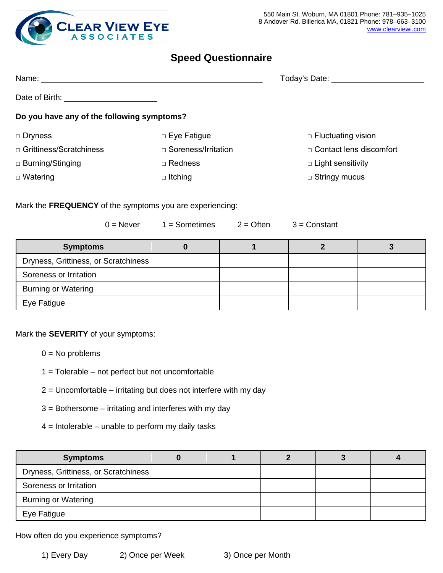

### **Speed Questionnaire**

| Name: _________                            |                            | Today's Date: <u>__________</u> |  |  |  |
|--------------------------------------------|----------------------------|---------------------------------|--|--|--|
| Date of Birth: <b>Example 2014</b>         |                            |                                 |  |  |  |
| Do you have any of the following symptoms? |                            |                                 |  |  |  |
| $\Box$ Dryness                             | $\Box$ Eye Fatigue         | $\Box$ Fluctuating vision       |  |  |  |
| □ Grittiness/Scratchiness                  | $\Box$ Soreness/Irritation | □ Contact lens discomfort       |  |  |  |
| □ Burning/Stinging                         | $\Box$ Redness             | $\Box$ Light sensitivity        |  |  |  |
| $\Box$ Watering                            | $\Box$ Itching             | $\Box$ Stringy mucus            |  |  |  |

Mark the **FREQUENCY** of the symptoms you are experiencing:

| $0 =$ Never                          | $1 =$ Sometimes | $2 =$ Often | $3 =$ Constant |  |
|--------------------------------------|-----------------|-------------|----------------|--|
| <b>Symptoms</b>                      |                 |             |                |  |
| Dryness, Grittiness, or Scratchiness |                 |             |                |  |
| Soreness or Irritation               |                 |             |                |  |
| <b>Burning or Watering</b>           |                 |             |                |  |
| Eye Fatigue                          |                 |             |                |  |

Mark the **SEVERITY** of your symptoms:

- $0 = No$  problems
- 1 = Tolerable not perfect but not uncomfortable
- 2 = Uncomfortable irritating but does not interfere with my day
- 3 = Bothersome irritating and interferes with my day
- $4 =$  Intolerable unable to perform my daily tasks

| <b>Symptoms</b>                      |  |  |  |
|--------------------------------------|--|--|--|
| Dryness, Grittiness, or Scratchiness |  |  |  |
| Soreness or Irritation               |  |  |  |
| <b>Burning or Watering</b>           |  |  |  |
| Eye Fatigue                          |  |  |  |

How often do you experience symptoms?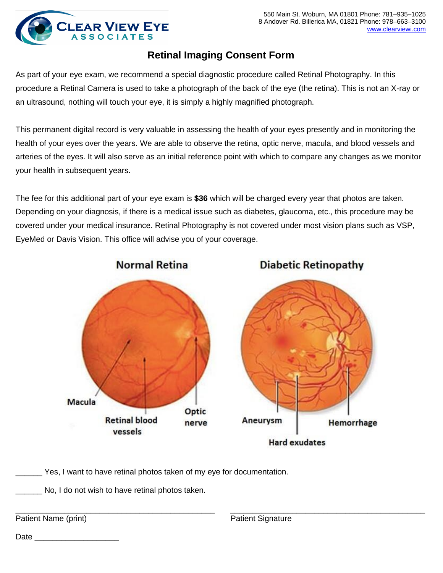

# **Retinal Imaging Consent Form**

As part of your eye exam, we recommend a special diagnostic procedure called Retinal Photography. In this procedure a Retinal Camera is used to take a photograph of the back of the eye (the retina). This is not an X-ray or an ultrasound, nothing will touch your eye, it is simply a highly magnified photograph.

This permanent digital record is very valuable in assessing the health of your eyes presently and in monitoring the health of your eyes over the years. We are able to observe the retina, optic nerve, macula, and blood vessels and arteries of the eyes. It will also serve as an initial reference point with which to compare any changes as we monitor your health in subsequent years.

The fee for this additional part of your eye exam is **\$36** which will be charged every year that photos are taken. Depending on your diagnosis, if there is a medical issue such as diabetes, glaucoma, etc., this procedure may be covered under your medical insurance. Retinal Photography is not covered under most vision plans such as VSP, EyeMed or Davis Vision. This office will advise you of your coverage.



\_\_\_\_\_\_ Yes, I want to have retinal photos taken of my eye for documentation.

No, I do not wish to have retinal photos taken.

\_\_\_\_\_\_\_\_\_\_\_\_\_\_\_\_\_\_\_\_\_\_\_\_\_\_\_\_\_\_\_\_\_\_\_\_\_\_\_\_\_\_\_\_\_ \_\_\_\_\_\_\_\_\_\_\_\_\_\_\_\_\_\_\_\_\_\_\_\_\_\_\_\_\_\_\_\_\_\_\_\_\_\_\_\_\_\_\_\_ Patient Name (print) **Patient Signature** Patient Signature

Date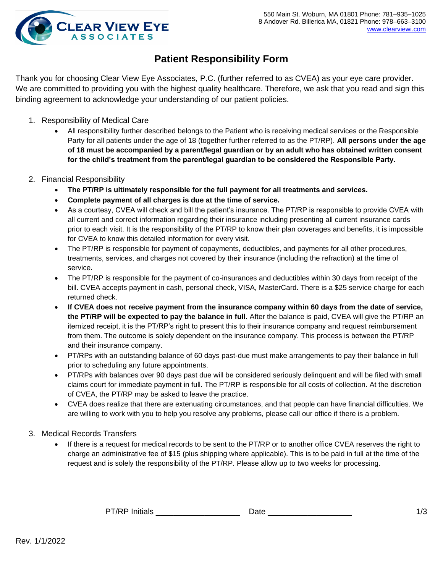

# **Patient Responsibility Form**

Thank you for choosing Clear View Eye Associates, P.C. (further referred to as CVEA) as your eye care provider. We are committed to providing you with the highest quality healthcare. Therefore, we ask that you read and sign this binding agreement to acknowledge your understanding of our patient policies.

- 1. Responsibility of Medical Care
	- All responsibility further described belongs to the Patient who is receiving medical services or the Responsible Party for all patients under the age of 18 (together further referred to as the PT/RP). **All persons under the age of 18 must be accompanied by a parent/legal guardian or by an adult who has obtained written consent for the child's treatment from the parent/legal guardian to be considered the Responsible Party.**
- 2. Financial Responsibility
	- **The PT/RP is ultimately responsible for the full payment for all treatments and services.**
	- **Complete payment of all charges is due at the time of service.**
	- As a courtesy, CVEA will check and bill the patient's insurance. The PT/RP is responsible to provide CVEA with all current and correct information regarding their insurance including presenting all current insurance cards prior to each visit. It is the responsibility of the PT/RP to know their plan coverages and benefits, it is impossible for CVEA to know this detailed information for every visit.
	- The PT/RP is responsible for payment of copayments, deductibles, and payments for all other procedures, treatments, services, and charges not covered by their insurance (including the refraction) at the time of service.
	- The PT/RP is responsible for the payment of co-insurances and deductibles within 30 days from receipt of the bill. CVEA accepts payment in cash, personal check, VISA, MasterCard. There is a \$25 service charge for each returned check.
	- **If CVEA does not receive payment from the insurance company within 60 days from the date of service, the PT/RP will be expected to pay the balance in full.** After the balance is paid, CVEA will give the PT/RP an itemized receipt, it is the PT/RP's right to present this to their insurance company and request reimbursement from them. The outcome is solely dependent on the insurance company. This process is between the PT/RP and their insurance company.
	- PT/RPs with an outstanding balance of 60 days past-due must make arrangements to pay their balance in full prior to scheduling any future appointments.
	- PT/RPs with balances over 90 days past due will be considered seriously delinquent and will be filed with small claims court for immediate payment in full. The PT/RP is responsible for all costs of collection. At the discretion of CVEA, the PT/RP may be asked to leave the practice.
	- CVEA does realize that there are extenuating circumstances, and that people can have financial difficulties. We are willing to work with you to help you resolve any problems, please call our office if there is a problem.
- 3. Medical Records Transfers
	- If there is a request for medical records to be sent to the PT/RP or to another office CVEA reserves the right to charge an administrative fee of \$15 (plus shipping where applicable). This is to be paid in full at the time of the request and is solely the responsibility of the PT/RP. Please allow up to two weeks for processing.

| <b>DT/RDI</b><br>.<br>$\sim$ tiolo<br>$\mathbf{L}$<br>ы.<br>___ |  |  |
|-----------------------------------------------------------------|--|--|
|-----------------------------------------------------------------|--|--|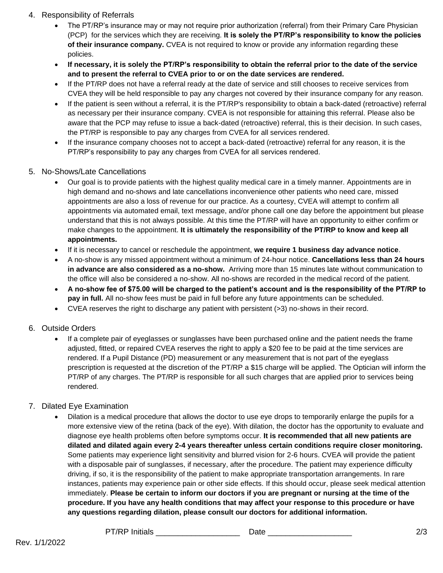- 4. Responsibility of Referrals
	- The PT/RP's insurance may or may not require prior authorization (referral) from their Primary Care Physician (PCP) for the services which they are receiving. **It is solely the PT/RP's responsibility to know the policies of their insurance company.** CVEA is not required to know or provide any information regarding these policies.
	- **If necessary, it is solely the PT/RP's responsibility to obtain the referral prior to the date of the service and to present the referral to CVEA prior to or on the date services are rendered.**
	- If the PT/RP does not have a referral ready at the date of service and still chooses to receive services from CVEA they will be held responsible to pay any charges not covered by their insurance company for any reason.
	- If the patient is seen without a referral, it is the PT/RP's responsibility to obtain a back-dated (retroactive) referral as necessary per their insurance company. CVEA is not responsible for attaining this referral. Please also be aware that the PCP may refuse to issue a back-dated (retroactive) referral, this is their decision. In such cases, the PT/RP is responsible to pay any charges from CVEA for all services rendered.
	- If the insurance company chooses not to accept a back-dated (retroactive) referral for any reason, it is the PT/RP's responsibility to pay any charges from CVEA for all services rendered.
- 5. No-Shows/Late Cancellations
	- Our goal is to provide patients with the highest quality medical care in a timely manner. Appointments are in high demand and no-shows and late cancellations inconvenience other patients who need care, missed appointments are also a loss of revenue for our practice. As a courtesy, CVEA will attempt to confirm all appointments via automated email, text message, and/or phone call one day before the appointment but please understand that this is not always possible. At this time the PT/RP will have an opportunity to either confirm or make changes to the appointment. **It is ultimately the responsibility of the PT/RP to know and keep all appointments.**
	- If it is necessary to cancel or reschedule the appointment, **we require 1 business day advance notice**.
	- A no-show is any missed appointment without a minimum of 24-hour notice. **Cancellations less than 24 hours in advance are also considered as a no-show.** Arriving more than 15 minutes late without communication to the office will also be considered a no-show. All no-shows are recorded in the medical record of the patient.
	- **A no-show fee of \$75.00 will be charged to the patient's account and is the responsibility of the PT/RP to pay in full.** All no-show fees must be paid in full before any future appointments can be scheduled.
	- CVEA reserves the right to discharge any patient with persistent (>3) no-shows in their record.

### 6. Outside Orders

• If a complete pair of eyeglasses or sunglasses have been purchased online and the patient needs the frame adjusted, fitted, or repaired CVEA reserves the right to apply a \$20 fee to be paid at the time services are rendered. If a Pupil Distance (PD) measurement or any measurement that is not part of the eyeglass prescription is requested at the discretion of the PT/RP a \$15 charge will be applied. The Optician will inform the PT/RP of any charges. The PT/RP is responsible for all such charges that are applied prior to services being rendered.

#### 7. Dilated Eye Examination

• Dilation is a medical procedure that allows the doctor to use eye drops to temporarily enlarge the pupils for a more extensive view of the retina (back of the eye). With dilation, the doctor has the opportunity to evaluate and diagnose eye health problems often before symptoms occur. **It is recommended that all new patients are dilated and dilated again every 2-4 years thereafter unless certain conditions require closer monitoring.** Some patients may experience light sensitivity and blurred vision for 2-6 hours. CVEA will provide the patient with a disposable pair of sunglasses, if necessary, after the procedure. The patient may experience difficulty driving, if so, it is the responsibility of the patient to make appropriate transportation arrangements. In rare instances, patients may experience pain or other side effects. If this should occur, please seek medical attention immediately. **Please be certain to inform our doctors if you are pregnant or nursing at the time of the procedure. If you have any health conditions that may affect your response to this procedure or have any questions regarding dilation, please consult our doctors for additional information.**

PT/RP Initials \_\_\_\_\_\_\_\_\_\_\_\_\_\_\_\_\_\_\_ Date \_\_\_\_\_\_\_\_\_\_\_\_\_\_\_\_\_\_\_ 2/3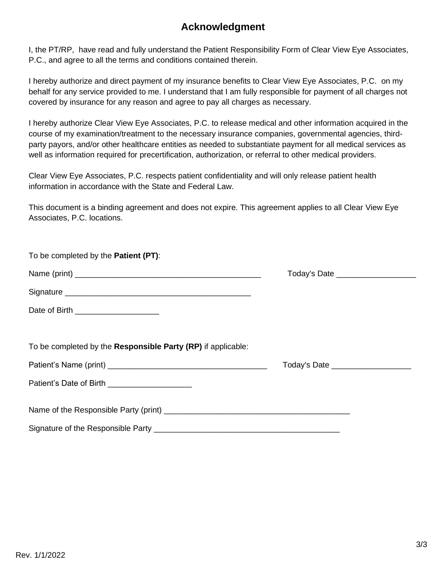# **Acknowledgment**

I, the PT/RP, have read and fully understand the Patient Responsibility Form of Clear View Eye Associates, P.C., and agree to all the terms and conditions contained therein.

I hereby authorize and direct payment of my insurance benefits to Clear View Eye Associates, P.C. on my behalf for any service provided to me. I understand that I am fully responsible for payment of all charges not covered by insurance for any reason and agree to pay all charges as necessary.

I hereby authorize Clear View Eye Associates, P.C. to release medical and other information acquired in the course of my examination/treatment to the necessary insurance companies, governmental agencies, thirdparty payors, and/or other healthcare entities as needed to substantiate payment for all medical services as well as information required for precertification, authorization, or referral to other medical providers.

Clear View Eye Associates, P.C. respects patient confidentiality and will only release patient health information in accordance with the State and Federal Law.

This document is a binding agreement and does not expire. This agreement applies to all Clear View Eye Associates, P.C. locations.

| To be completed by the Patient (PT):                         |                                     |  |
|--------------------------------------------------------------|-------------------------------------|--|
|                                                              | Today's Date ______________________ |  |
|                                                              |                                     |  |
| Date of Birth _______________________                        |                                     |  |
| To be completed by the Responsible Party (RP) if applicable: |                                     |  |
|                                                              | Today's Date _____________________  |  |
|                                                              |                                     |  |
|                                                              |                                     |  |
|                                                              |                                     |  |